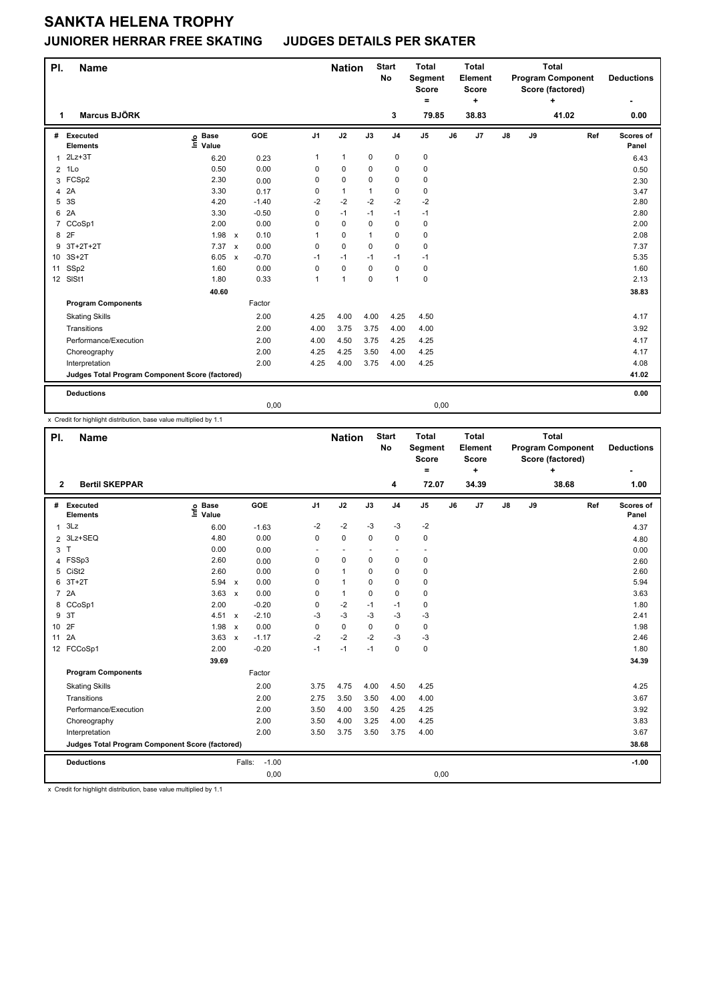## **SANKTA HELENA TROPHY**

#### **JUNIORER HERRAR FREE SKATING JUDGES DETAILS PER SKATER**

| PI.            | <b>Name</b>                                     |                                  |                         |                | <b>Nation</b>  |              | <b>Start</b><br><b>No</b> | <b>Total</b><br><b>Segment</b><br><b>Score</b><br>= |    | <b>Total</b><br>Element<br><b>Score</b><br>÷ | <b>Total</b><br><b>Program Component</b><br>Score (factored)<br>۰ |    |       | <b>Deductions</b> |                    |
|----------------|-------------------------------------------------|----------------------------------|-------------------------|----------------|----------------|--------------|---------------------------|-----------------------------------------------------|----|----------------------------------------------|-------------------------------------------------------------------|----|-------|-------------------|--------------------|
| 1              | <b>Marcus BJÖRK</b>                             |                                  |                         |                |                |              | 3                         | 79.85                                               |    | 38.83                                        |                                                                   |    | 41.02 |                   | 0.00               |
| #              | Executed<br><b>Elements</b>                     | <b>Base</b><br>e Base<br>⊑ Value | <b>GOE</b>              | J <sub>1</sub> | J2             | J3           | J <sub>4</sub>            | J <sub>5</sub>                                      | J6 | J <sub>7</sub>                               | $\mathsf{J}8$                                                     | J9 |       | Ref               | Scores of<br>Panel |
| 1              | $2Lz + 3T$                                      | 6.20                             | 0.23                    | 1              | $\mathbf{1}$   | $\mathbf 0$  | $\pmb{0}$                 | $\pmb{0}$                                           |    |                                              |                                                                   |    |       |                   | 6.43               |
| $\overline{2}$ | 1Lo                                             | 0.50                             | 0.00                    | 0              | $\mathbf 0$    | $\mathbf 0$  | $\mathbf 0$               | 0                                                   |    |                                              |                                                                   |    |       |                   | 0.50               |
| 3              | FCSp2                                           | 2.30                             | 0.00                    | 0              | $\pmb{0}$      | $\mathbf 0$  | $\pmb{0}$                 | 0                                                   |    |                                              |                                                                   |    |       |                   | 2.30               |
| 4              | 2A                                              | 3.30                             | 0.17                    | 0              | $\mathbf{1}$   | $\mathbf{1}$ | $\pmb{0}$                 | 0                                                   |    |                                              |                                                                   |    |       |                   | 3.47               |
| 5              | 3S                                              | 4.20                             | $-1.40$                 | $-2$           | $-2$           | $-2$         | $-2$                      | $-2$                                                |    |                                              |                                                                   |    |       |                   | 2.80               |
| 6              | 2A                                              | 3.30                             | $-0.50$                 | 0              | $-1$           | $-1$         | $-1$                      | $-1$                                                |    |                                              |                                                                   |    |       |                   | 2.80               |
| $\overline{7}$ | CCoSp1                                          | 2.00                             | 0.00                    | 0              | $\mathbf 0$    | $\Omega$     | $\mathbf 0$               | 0                                                   |    |                                              |                                                                   |    |       |                   | 2.00               |
| 8              | 2F                                              | 1.98                             | 0.10<br>$\mathsf{x}$    |                | 0              | 1            | 0                         | 0                                                   |    |                                              |                                                                   |    |       |                   | 2.08               |
| 9              | $3T+2T+2T$                                      | 7.37                             | 0.00<br>$\mathsf{x}$    | 0              | 0              | $\Omega$     | 0                         | $\mathbf 0$                                         |    |                                              |                                                                   |    |       |                   | 7.37               |
| 10             | $3S+2T$                                         | 6.05                             | $-0.70$<br>$\mathsf{x}$ | $-1$           | $-1$           | $-1$         | $-1$                      | $-1$                                                |    |                                              |                                                                   |    |       |                   | 5.35               |
| 11             | SSp2                                            | 1.60                             | 0.00                    | 0              | $\mathbf 0$    | $\mathbf 0$  | $\mathbf 0$               | $\pmb{0}$                                           |    |                                              |                                                                   |    |       |                   | 1.60               |
|                | 12 SISt1                                        | 1.80                             | 0.33                    | 1              | $\overline{1}$ | $\Omega$     | $\mathbf{1}$              | $\pmb{0}$                                           |    |                                              |                                                                   |    |       |                   | 2.13               |
|                |                                                 | 40.60                            |                         |                |                |              |                           |                                                     |    |                                              |                                                                   |    |       |                   | 38.83              |
|                | <b>Program Components</b>                       |                                  | Factor                  |                |                |              |                           |                                                     |    |                                              |                                                                   |    |       |                   |                    |
|                | <b>Skating Skills</b>                           |                                  | 2.00                    | 4.25           | 4.00           | 4.00         | 4.25                      | 4.50                                                |    |                                              |                                                                   |    |       |                   | 4.17               |
|                | Transitions                                     |                                  | 2.00                    | 4.00           | 3.75           | 3.75         | 4.00                      | 4.00                                                |    |                                              |                                                                   |    |       |                   | 3.92               |
|                | Performance/Execution                           |                                  | 2.00                    | 4.00           | 4.50           | 3.75         | 4.25                      | 4.25                                                |    |                                              |                                                                   |    |       |                   | 4.17               |
|                | Choreography                                    |                                  | 2.00                    | 4.25           | 4.25           | 3.50         | 4.00                      | 4.25                                                |    |                                              |                                                                   |    |       |                   | 4.17               |
|                | Interpretation                                  |                                  | 2.00                    | 4.25           | 4.00           | 3.75         | 4.00                      | 4.25                                                |    |                                              |                                                                   |    |       |                   | 4.08               |
|                | Judges Total Program Component Score (factored) |                                  |                         |                |                |              |                           |                                                     |    |                                              |                                                                   |    |       |                   | 41.02              |
|                | <b>Deductions</b>                               |                                  |                         |                |                |              |                           |                                                     |    |                                              |                                                                   |    |       |                   | 0.00               |
|                |                                                 |                                  | 0,00                    |                |                |              |                           | 0,00                                                |    |                                              |                                                                   |    |       |                   |                    |

x Credit for highlight distribution, base value multiplied by 1.1

| PI.             | <b>Name</b>                                     |                            |                           |         |                | <b>Nation</b> |          | <b>Start</b><br>No       | <b>Total</b><br>Segment<br><b>Score</b> |    | <b>Total</b><br>Element<br><b>Score</b> | <b>Total</b><br><b>Program Component</b><br>Score (factored)<br>÷ |    |       | <b>Deductions</b> |                    |
|-----------------|-------------------------------------------------|----------------------------|---------------------------|---------|----------------|---------------|----------|--------------------------|-----------------------------------------|----|-----------------------------------------|-------------------------------------------------------------------|----|-------|-------------------|--------------------|
| $\mathbf{2}$    | <b>Bertil SKEPPAR</b>                           |                            |                           |         |                |               |          | 4                        | =<br>72.07                              |    | ÷<br>34.39                              |                                                                   |    | 38.68 |                   | 1.00               |
| #               | Executed<br><b>Elements</b>                     | <b>Base</b><br>١m<br>Value |                           | GOE     | J <sub>1</sub> | J2            | J3       | J <sub>4</sub>           | J <sub>5</sub>                          | J6 | J7                                      | J8                                                                | J9 |       | Ref               | Scores of<br>Panel |
| 1               | 3Lz                                             | 6.00                       |                           | $-1.63$ | $-2$           | $-2$          | $-3$     | $-3$                     | $-2$                                    |    |                                         |                                                                   |    |       |                   | 4.37               |
| $\overline{2}$  | 3Lz+SEQ                                         | 4.80                       |                           | 0.00    | $\Omega$       | $\mathbf 0$   | $\Omega$ | $\mathbf 0$              | $\pmb{0}$                               |    |                                         |                                                                   |    |       |                   | 4.80               |
| 3               | T                                               | 0.00                       |                           | 0.00    | ٠              | ٠             |          | $\overline{\phantom{a}}$ | ٠                                       |    |                                         |                                                                   |    |       |                   | 0.00               |
| 4               | FSSp3                                           | 2.60                       |                           | 0.00    | 0              | 0             | 0        | $\mathbf 0$              | 0                                       |    |                                         |                                                                   |    |       |                   | 2.60               |
| 5               | CiSt <sub>2</sub>                               | 2.60                       |                           | 0.00    | 0              | $\mathbf{1}$  | 0        | 0                        | 0                                       |    |                                         |                                                                   |    |       |                   | 2.60               |
| 6               | $3T+2T$                                         | 5.94                       | $\mathsf{x}$              | 0.00    | 0              | $\mathbf{1}$  | 0        | $\mathbf 0$              | 0                                       |    |                                         |                                                                   |    |       |                   | 5.94               |
| $\overline{7}$  | 2A                                              | 3.63                       | $\mathsf{x}$              | 0.00    | 0              | $\mathbf{1}$  | 0        | $\mathbf 0$              | 0                                       |    |                                         |                                                                   |    |       |                   | 3.63               |
|                 | 8 CCoSp1                                        | 2.00                       |                           | $-0.20$ | 0              | $-2$          | $-1$     | $-1$                     | 0                                       |    |                                         |                                                                   |    |       |                   | 1.80               |
| 9               | 3T                                              | 4.51                       | $\boldsymbol{\mathsf{x}}$ | $-2.10$ | -3             | $-3$          | -3       | -3                       | -3                                      |    |                                         |                                                                   |    |       |                   | 2.41               |
| 10 <sup>1</sup> | 2F                                              | 1.98                       | $\mathsf{x}$              | 0.00    | 0              | $\pmb{0}$     | 0        | $\mathbf 0$              | $\pmb{0}$                               |    |                                         |                                                                   |    |       |                   | 1.98               |
| 11              | 2A                                              | 3.63                       | $\mathbf{x}$              | $-1.17$ | $-2$           | $-2$          | $-2$     | $-3$                     | $-3$                                    |    |                                         |                                                                   |    |       |                   | 2.46               |
|                 | 12 FCCoSp1                                      | 2.00                       |                           | $-0.20$ | $-1$           | $-1$          | $-1$     | $\mathbf 0$              | 0                                       |    |                                         |                                                                   |    |       |                   | 1.80               |
|                 |                                                 | 39.69                      |                           |         |                |               |          |                          |                                         |    |                                         |                                                                   |    |       |                   | 34.39              |
|                 | <b>Program Components</b>                       |                            |                           | Factor  |                |               |          |                          |                                         |    |                                         |                                                                   |    |       |                   |                    |
|                 | <b>Skating Skills</b>                           |                            |                           | 2.00    | 3.75           | 4.75          | 4.00     | 4.50                     | 4.25                                    |    |                                         |                                                                   |    |       |                   | 4.25               |
|                 | Transitions                                     |                            |                           | 2.00    | 2.75           | 3.50          | 3.50     | 4.00                     | 4.00                                    |    |                                         |                                                                   |    |       |                   | 3.67               |
|                 | Performance/Execution                           |                            |                           | 2.00    | 3.50           | 4.00          | 3.50     | 4.25                     | 4.25                                    |    |                                         |                                                                   |    |       |                   | 3.92               |
|                 | Choreography                                    |                            |                           | 2.00    | 3.50           | 4.00          | 3.25     | 4.00                     | 4.25                                    |    |                                         |                                                                   |    |       |                   | 3.83               |
|                 | Interpretation                                  |                            |                           | 2.00    | 3.50           | 3.75          | 3.50     | 3.75                     | 4.00                                    |    |                                         |                                                                   |    |       |                   | 3.67               |
|                 | Judges Total Program Component Score (factored) |                            |                           |         |                |               |          |                          |                                         |    |                                         |                                                                   |    |       |                   | 38.68              |
|                 | <b>Deductions</b>                               |                            | Falls:                    | $-1.00$ |                |               |          |                          |                                         |    |                                         |                                                                   |    |       |                   | $-1.00$            |
|                 |                                                 |                            |                           | 0,00    |                |               |          |                          | 0,00                                    |    |                                         |                                                                   |    |       |                   |                    |

x Credit for highlight distribution, base value multiplied by 1.1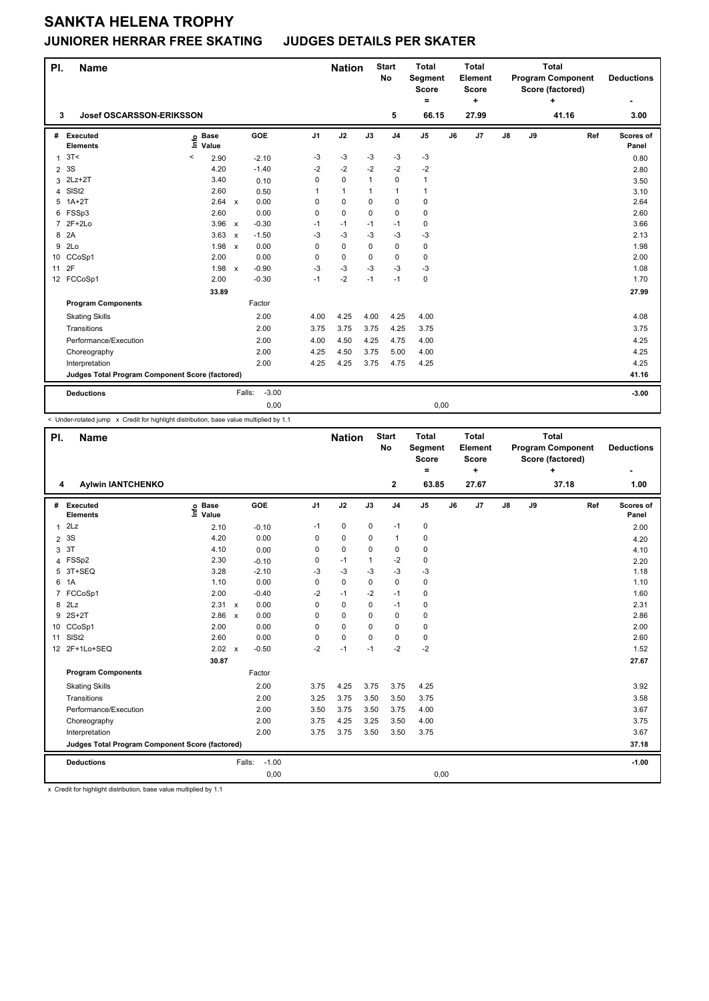## **SANKTA HELENA TROPHY**

#### **JUNIORER HERRAR FREE SKATING JUDGES DETAILS PER SKATER**

| PI.            | <b>Name</b>                                     |                            |                                      |                | <b>Nation</b> |              | <b>Start</b><br><b>No</b> | <b>Total</b><br>Segment<br><b>Score</b><br>$\equiv$ |    | <b>Total</b><br>Element<br><b>Score</b><br>÷ | <b>Total</b><br><b>Program Component</b><br>Score (factored)<br>÷ |    |       | <b>Deductions</b> |                    |
|----------------|-------------------------------------------------|----------------------------|--------------------------------------|----------------|---------------|--------------|---------------------------|-----------------------------------------------------|----|----------------------------------------------|-------------------------------------------------------------------|----|-------|-------------------|--------------------|
| 3              | <b>Josef OSCARSSON-ERIKSSON</b>                 |                            |                                      |                |               |              | 5                         | 66.15                                               |    | 27.99                                        |                                                                   |    | 41.16 |                   | 3.00               |
| #              | Executed<br><b>Elements</b>                     | e Base<br>E Value<br>Value | GOE                                  | J <sub>1</sub> | J2            | J3           | J <sub>4</sub>            | J <sub>5</sub>                                      | J6 | J7                                           | $\mathsf{J}8$                                                     | J9 |       | Ref               | Scores of<br>Panel |
| 1              | 3T<                                             | $\prec$<br>2.90            | $-2.10$                              | -3             | -3            | $-3$         | $-3$                      | $-3$                                                |    |                                              |                                                                   |    |       |                   | 0.80               |
| $\overline{2}$ | 3S                                              | 4.20                       | $-1.40$                              | $-2$           | $-2$          | $-2$         | $-2$                      | $-2$                                                |    |                                              |                                                                   |    |       |                   | 2.80               |
| 3              | $2Lz+2T$                                        | 3.40                       | 0.10                                 | 0              | 0             | $\mathbf{1}$ | $\mathbf 0$               | 1                                                   |    |                                              |                                                                   |    |       |                   | 3.50               |
| 4              | SISt <sub>2</sub>                               | 2.60                       | 0.50                                 | 1              | $\mathbf{1}$  | 1            | $\mathbf{1}$              | 1                                                   |    |                                              |                                                                   |    |       |                   | 3.10               |
| 5              | $1A+2T$                                         | 2.64                       | 0.00<br>$\mathsf{x}$                 | $\Omega$       | 0             | 0            | $\mathbf 0$               | 0                                                   |    |                                              |                                                                   |    |       |                   | 2.64               |
| 6              | FSSp3                                           | 2.60                       | 0.00                                 | 0              | 0             | 0            | $\mathbf 0$               | 0                                                   |    |                                              |                                                                   |    |       |                   | 2.60               |
| $\overline{7}$ | $2F+2Lo$                                        | $3.96 \times$              | $-0.30$                              | $-1$           | $-1$          | $-1$         | $-1$                      | 0                                                   |    |                                              |                                                                   |    |       |                   | 3.66               |
| 8              | 2A                                              | 3.63                       | $-1.50$<br>$\boldsymbol{\mathsf{x}}$ | $-3$           | -3            | $-3$         | $-3$                      | -3                                                  |    |                                              |                                                                   |    |       |                   | 2.13               |
| 9              | 2Lo                                             | 1.98                       | 0.00<br>$\boldsymbol{\mathsf{x}}$    | 0              | 0             | 0            | $\mathbf 0$               | 0                                                   |    |                                              |                                                                   |    |       |                   | 1.98               |
|                | 10 CCoSp1                                       | 2.00                       | 0.00                                 | 0              | 0             | 0            | 0                         | 0                                                   |    |                                              |                                                                   |    |       |                   | 2.00               |
| 11             | 2F                                              | 1.98                       | $-0.90$<br>$\mathsf{x}$              | $-3$           | -3            | $-3$         | $-3$                      | $-3$                                                |    |                                              |                                                                   |    |       |                   | 1.08               |
|                | 12 FCCoSp1                                      | 2.00                       | $-0.30$                              | $-1$           | $-2$          | $-1$         | $-1$                      | 0                                                   |    |                                              |                                                                   |    |       |                   | 1.70               |
|                |                                                 | 33.89                      |                                      |                |               |              |                           |                                                     |    |                                              |                                                                   |    |       |                   | 27.99              |
|                | <b>Program Components</b>                       |                            | Factor                               |                |               |              |                           |                                                     |    |                                              |                                                                   |    |       |                   |                    |
|                | <b>Skating Skills</b>                           |                            | 2.00                                 | 4.00           | 4.25          | 4.00         | 4.25                      | 4.00                                                |    |                                              |                                                                   |    |       |                   | 4.08               |
|                | Transitions                                     |                            | 2.00                                 | 3.75           | 3.75          | 3.75         | 4.25                      | 3.75                                                |    |                                              |                                                                   |    |       |                   | 3.75               |
|                | Performance/Execution                           |                            | 2.00                                 | 4.00           | 4.50          | 4.25         | 4.75                      | 4.00                                                |    |                                              |                                                                   |    |       |                   | 4.25               |
|                | Choreography                                    |                            | 2.00                                 | 4.25           | 4.50          | 3.75         | 5.00                      | 4.00                                                |    |                                              |                                                                   |    |       |                   | 4.25               |
|                | Interpretation                                  |                            | 2.00                                 | 4.25           | 4.25          | 3.75         | 4.75                      | 4.25                                                |    |                                              |                                                                   |    |       |                   | 4.25               |
|                | Judges Total Program Component Score (factored) |                            |                                      |                |               |              |                           |                                                     |    |                                              |                                                                   |    |       |                   | 41.16              |
|                | <b>Deductions</b>                               |                            | $-3.00$<br>Falls:                    |                |               |              |                           |                                                     |    |                                              |                                                                   |    |       |                   | $-3.00$            |
|                |                                                 |                            | 0,00                                 |                |               |              |                           | 0,00                                                |    |                                              |                                                                   |    |       |                   |                    |

< Under-rotated jump x Credit for highlight distribution, base value multiplied by 1.1

| PI. | <b>Name</b>                                     |                            |                                   |                | <b>Nation</b> |              | <b>Start</b><br><b>No</b> | <b>Total</b><br>Segment<br><b>Score</b><br>$\equiv$ |    | <b>Total</b><br>Element<br><b>Score</b><br>÷ | <b>Total</b><br><b>Program Component</b><br>Score (factored)<br>÷ |    |       | <b>Deductions</b> |                    |
|-----|-------------------------------------------------|----------------------------|-----------------------------------|----------------|---------------|--------------|---------------------------|-----------------------------------------------------|----|----------------------------------------------|-------------------------------------------------------------------|----|-------|-------------------|--------------------|
| 4   | <b>Aylwin IANTCHENKO</b>                        |                            |                                   |                |               |              | $\mathbf{2}$              | 63.85                                               |    | 27.67                                        |                                                                   |    | 37.18 |                   | 1.00               |
| #   | Executed<br><b>Elements</b>                     | e Base<br>E Value<br>Value | <b>GOE</b>                        | J <sub>1</sub> | J2            | J3           | J <sub>4</sub>            | J <sub>5</sub>                                      | J6 | J7                                           | $\mathsf{J}8$                                                     | J9 |       | Ref               | Scores of<br>Panel |
| 1   | 2Lz                                             | 2.10                       | $-0.10$                           | $-1$           | $\mathbf 0$   | $\mathbf 0$  | $-1$                      | 0                                                   |    |                                              |                                                                   |    |       |                   | 2.00               |
|     | 2 <sup>3S</sup>                                 | 4.20                       | 0.00                              | 0              | 0             | 0            | $\mathbf{1}$              | 0                                                   |    |                                              |                                                                   |    |       |                   | 4.20               |
| 3   | 3T                                              | 4.10                       | 0.00                              | 0              | $\mathbf 0$   | 0            | $\mathbf 0$               | 0                                                   |    |                                              |                                                                   |    |       |                   | 4.10               |
| 4   | FSSp2                                           | 2.30                       | $-0.10$                           | 0              | $-1$          | $\mathbf{1}$ | $-2$                      | 0                                                   |    |                                              |                                                                   |    |       |                   | 2.20               |
| 5   | 3T+SEQ                                          | 3.28                       | $-2.10$                           | -3             | $-3$          | $-3$         | $-3$                      | $-3$                                                |    |                                              |                                                                   |    |       |                   | 1.18               |
| 6   | 1A                                              | 1.10                       | 0.00                              | $\mathbf 0$    | 0             | 0            | $\mathbf 0$               | 0                                                   |    |                                              |                                                                   |    |       |                   | 1.10               |
| 7   | FCCoSp1                                         | 2.00                       | $-0.40$                           | $-2$           | $-1$          | $-2$         | $-1$                      | 0                                                   |    |                                              |                                                                   |    |       |                   | 1.60               |
| 8   | 2Lz                                             | 2.31 x                     | 0.00                              | 0              | $\pmb{0}$     | 0            | $-1$                      | 0                                                   |    |                                              |                                                                   |    |       |                   | 2.31               |
| 9   | $2S+2T$                                         | 2.86                       | 0.00<br>$\boldsymbol{\mathsf{x}}$ | 0              | $\mathbf 0$   | 0            | $\mathbf 0$               | 0                                                   |    |                                              |                                                                   |    |       |                   | 2.86               |
| 10  | CCoSp1                                          | 2.00                       | 0.00                              | 0              | $\mathbf 0$   | 0            | $\mathbf 0$               | 0                                                   |    |                                              |                                                                   |    |       |                   | 2.00               |
| 11  | SISt <sub>2</sub>                               | 2.60                       | 0.00                              | 0              | 0             | 0            | 0                         | 0                                                   |    |                                              |                                                                   |    |       |                   | 2.60               |
|     | 12 2F+1Lo+SEQ                                   | $2.02 \times$              | $-0.50$                           | $-2$           | $-1$          | $-1$         | $-2$                      | $-2$                                                |    |                                              |                                                                   |    |       |                   | 1.52               |
|     |                                                 | 30.87                      |                                   |                |               |              |                           |                                                     |    |                                              |                                                                   |    |       |                   | 27.67              |
|     | <b>Program Components</b>                       |                            | Factor                            |                |               |              |                           |                                                     |    |                                              |                                                                   |    |       |                   |                    |
|     | <b>Skating Skills</b>                           |                            | 2.00                              | 3.75           | 4.25          | 3.75         | 3.75                      | 4.25                                                |    |                                              |                                                                   |    |       |                   | 3.92               |
|     | Transitions                                     |                            | 2.00                              | 3.25           | 3.75          | 3.50         | 3.50                      | 3.75                                                |    |                                              |                                                                   |    |       |                   | 3.58               |
|     | Performance/Execution                           |                            | 2.00                              | 3.50           | 3.75          | 3.50         | 3.75                      | 4.00                                                |    |                                              |                                                                   |    |       |                   | 3.67               |
|     | Choreography                                    |                            | 2.00                              | 3.75           | 4.25          | 3.25         | 3.50                      | 4.00                                                |    |                                              |                                                                   |    |       |                   | 3.75               |
|     | Interpretation                                  |                            | 2.00                              | 3.75           | 3.75          | 3.50         | 3.50                      | 3.75                                                |    |                                              |                                                                   |    |       |                   | 3.67               |
|     | Judges Total Program Component Score (factored) |                            |                                   |                |               |              |                           |                                                     |    |                                              |                                                                   |    |       |                   | 37.18              |
|     | <b>Deductions</b>                               |                            | $-1.00$<br>Falls:                 |                |               |              |                           |                                                     |    |                                              |                                                                   |    |       |                   | $-1.00$            |
|     |                                                 |                            | 0,00                              |                |               |              |                           | 0,00                                                |    |                                              |                                                                   |    |       |                   |                    |

x Credit for highlight distribution, base value multiplied by 1.1